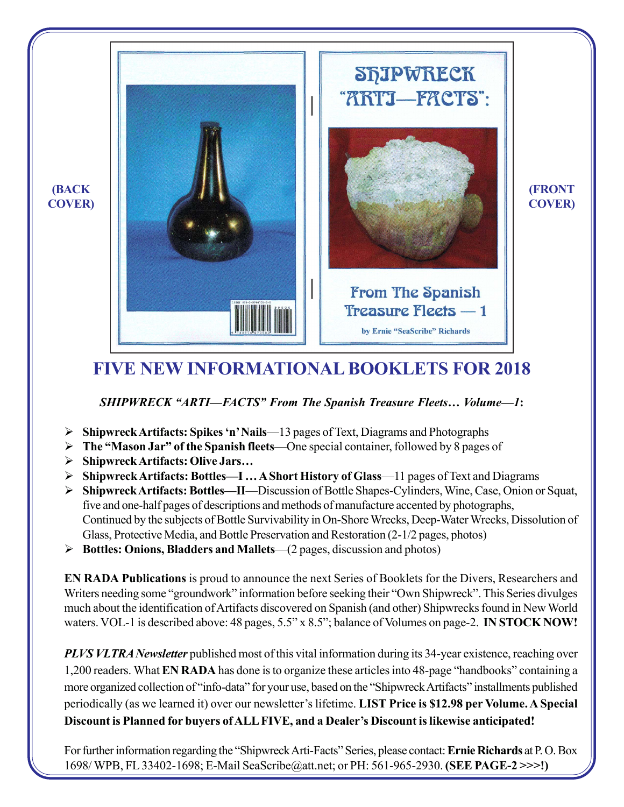

# **FIVE NEW INFORMATIONAL BOOKLETS FOR 2018**

*SHIPWRECK "ARTI—FACTS" From The Spanish Treasure Fleets… Volume—1***:**

- ¾ **Shipwreck Artifacts: Spikes 'n' Nails**—13 pages of Text, Diagrams and Photographs
- ¾ **The "Mason Jar" of the Spanish fleets**—One special container, followed by 8 pages of
- ¾ **Shipwreck Artifacts: Olive Jars…**
- ¾ **Shipwreck Artifacts: Bottles—I … A Short History of Glass**—11 pages of Text and Diagrams
- ¾ **Shipwreck Artifacts: Bottles—II**—Discussion of Bottle Shapes-Cylinders, Wine, Case, Onion or Squat, five and one-half pages of descriptions and methods of manufacture accented by photographs, Continued by the subjects of Bottle Survivability in On-Shore Wrecks, Deep-Water Wrecks, Dissolution of Glass, Protective Media, and Bottle Preservation and Restoration (2-1/2 pages, photos)
- ¾ **Bottles: Onions, Bladders and Mallets**—(2 pages, discussion and photos)

**EN RADA Publications** is proud to announce the next Series of Booklets for the Divers, Researchers and Writers needing some "groundwork" information before seeking their "Own Shipwreck". This Series divulges much about the identification of Artifacts discovered on Spanish (and other) Shipwrecks found in New World waters. VOL-1 is described above: 48 pages, 5.5" x 8.5"; balance of Volumes on page-2. **IN STOCK NOW!**

*PLVS VLTRA Newsletter* published most of this vital information during its 34-year existence, reaching over 1,200 readers. What **EN RADA** has done is to organize these articles into 48-page "handbooks" containing a more organized collection of "info-data" for your use, based on the "Shipwreck Artifacts" installments published periodically (as we learned it) over our newsletter's lifetime. **LIST Price is \$12.98 per Volume. A Special Discount is Planned for buyers of ALL FIVE, and a Dealer's Discount is likewise anticipated!**

For further information regarding the "Shipwreck Arti-Facts" Series, please contact: **Ernie Richards** at P. O. Box 1698/ WPB, FL 33402-1698; E-Mail SeaScribe@att.net; or PH: 561-965-2930. **(SEE PAGE-2 >>>!)**